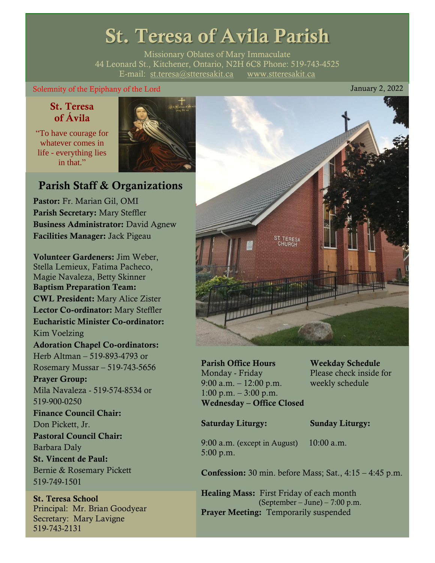# St. Teresa of Avila Parish

Missionary Oblates of Mary Immaculate 44 Leonard St., Kitchener, Ontario, N2H 6C8 Phone: 519-743-4525 E-mail: [st.teresa@stteresakit.ca](mailto:st.teresa@stteresakit.ca) [www.stteresakit.ca](http://www.stteresakit.ca/)

### Solemnity of the Epiphany of the Lord January 2, 2022

### St. Teresa of Ávila

"To have courage for whatever comes in life - everything lies in that"



### Parish Staff & Organizations

Pastor: Fr. Marian Gil, OMI Parish Secretary: Mary Steffler Business Administrator: David Agnew Facilities Manager: Jack Pigeau

Volunteer Gardeners: Jim Weber, Stella Lemieux, Fatima Pacheco, Magie Navaleza, Betty Skinner Baptism Preparation Team: CWL President: Mary Alice Zister Lector Co-ordinator: Mary Steffler Eucharistic Minister Co-ordinator: Kim Voelzing Adoration Chapel Co-ordinators: Herb Altman – 519-893-4793 or Rosemary Mussar – 519-743-5656 Prayer Group: Mila Navaleza - 519-574-8534 or 519-900-0250 Finance Council Chair: Don Pickett, Jr. Pastoral Council Chair: Barbara Daly St. Vincent de Paul: Bernie & Rosemary Pickett 519-749-1501

St. Teresa School Principal: Mr. Brian Goodyear Secretary: Mary Lavigne 519-743-2131



Parish Office Hours Weekday Schedule Monday - Friday Please check inside for 9:00 a.m. – 12:00 p.m. weekly schedule  $1:00 \text{ p.m.} - 3:00 \text{ p.m.}$ Wednesday – Office Closed

#### Saturday Liturgy: Sunday Liturgy:

9:00 a.m. (except in August) 10:00 a.m. 5:00 p.m.

Confession: 30 min. before Mass; Sat., 4:15 – 4:45 p.m.

Healing Mass: First Friday of each month (September – June) – 7:00 p.m. Prayer Meeting: Temporarily suspended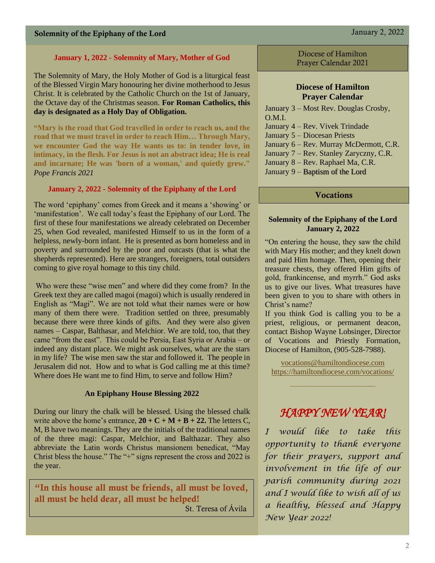#### **January 1, 2022 - Solemnity of Mary, Mother of God**

The Solemnity of Mary, the Holy Mother of God is a liturgical feast of the Blessed Virgin Mary honouring her divine motherhood to Jesus Christ. It is celebrated by the Catholic Church on the 1st of January, the Octave day of the Christmas season. **For Roman Catholics, this day is designated as a Holy Day of Obligation.**

**"Mary is the road that God travelled in order to reach us, and the road that we must travel in order to reach Him… Through Mary, we encounter God the way He wants us to: in tender love, in intimacy, in the flesh. For Jesus is not an abstract idea; He is real and incarnate; He was 'born of a woman,' and quietly grew."** *Pope Francis 2021*

#### **January 2, 2022 - Solemnity of the Epiphany of the Lord**

The word 'epiphany' comes from Greek and it means a 'showing' or 'manifestation'. We call today's feast the Epiphany of our Lord. The first of these four manifestations we already celebrated on December 25, when God revealed, manifested Himself to us in the form of a helpless, newly-born infant. He is presented as born homeless and in poverty and surrounded by the poor and outcasts (that is what the shepherds represented). Here are strangers, foreigners, total outsiders coming to give royal homage to this tiny child.

Who were these "wise men" and where did they come from? In the Greek text they are called magoi (magoi) which is usually rendered in English as "Magi". We are not told what their names were or how many of them there were. Tradition settled on three, presumably because there were three kinds of gifts. And they were also given names – Caspar, Balthasar, and Melchior. We are told, too, that they came "from the east". This could be Persia, East Syria or Arabia – or indeed any distant place. We might ask ourselves, what are the stars in my life? The wise men saw the star and followed it. The people in Jerusalem did not. How and to what is God calling me at this time? Where does He want me to find Him, to serve and follow Him?

#### **An Epiphany House Blessing 2022**

During our litury the chalk will be blessed. Using the blessed chalk write above the home's entrance,  $20 + C + M + B + 22$ . The letters C, M, B have two meanings. They are the initials of the traditional names of the three magi: Caspar, Melchior, and Balthazar. They also abbreviate the Latin words Christus mansionem benedicat, "May Christ bless the house." The "+" signs represent the cross and 2022 is the year.

"In this house all must be friends, all must be loved, all must be held dear, all must be helped!

St. Teresa of Ávila

Diocese of Hamilton Prayer Calendar 2021

#### **Diocese of Hamilton Prayer Calendar**

January 3 – Most Rev. Douglas Crosby,  $OMI$ January 4 – Rev. Vivek Trindade January 5 – Diocesan Priests January 6 – Rev. Murray McDermott, C.R. January 7 – Rev. Stanley Zaryczny, C.R. January 8 – Rev. Raphael Ma, C.R. January 9 – Baptism of the Lord

#### Vocations

#### **Solemnity of the Epiphany of the Lord January 2, 2022**

"On entering the house, they saw the child with Mary His mother; and they knelt down and paid Him homage. Then, opening their treasure chests, they offered Him gifts of gold, frankincense, and myrrh." God asks us to give our lives. What treasures have been given to you to share with others in Christ's name?

If you think God is calling you to be a priest, religious, or permanent deacon, contact Bishop Wayne Lobsinger, Director of Vocations and Priestly Formation, Diocese of Hamilton, (905-528-7988).

[vocations@hamiltondiocese.com](mailto:vocations@hamiltondiocese.com)  <https://hamiltondiocese.com/vocations/>

## *HAPPY NEW YEAR!*

*I would like to take this opportunity to thank everyone for their prayers, support and involvement in the life of our parish community during 2021 and I would like to wish all of us a healthy, blessed and Happy New Year 2022!*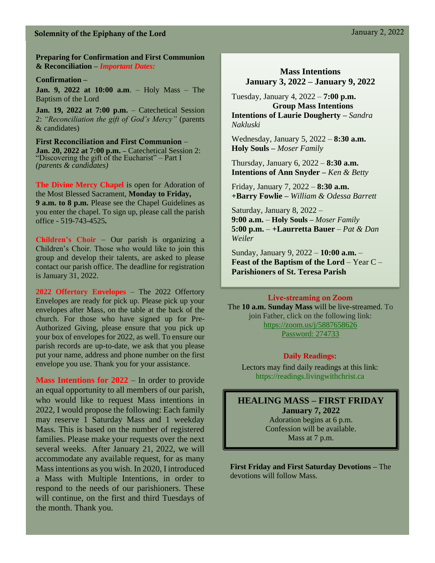### Solemnity of the Epiphany of the Lord January 2, 2022

**Preparing for Confirmation and First Communion & Reconciliation –** *Important Dates:*

#### **Confirmation –**

**Jan. 9, 2022 at 10:00 a.m**. – Holy Mass – The Baptism of the Lord

**Jan. 19, 2022 at 7:00 p.m.** – Catechetical Session 2: *"Reconciliation the gift of God's Mercy"* (parents & candidates)

First Reconciliation and First Communion – **Jan. 20, 2022 at 7:00 p.m. –** Catechetical Session 2: "Discovering the gift of the Eucharist" – Part I *(parents & candidates)*

**The Divine Mercy Chapel** is open for Adoration of the Most Blessed Sacrament, **Monday to Friday, 9 a.m. to 8 p.m.** Please see the Chapel Guidelines as you enter the chapel. To sign up, please call the parish office - 519-743-4525**.**

**Children's Choir** – Our parish is organizing a Children's Choir. Those who would like to join this group and develop their talents, are asked to please contact our parish office. The deadline for registration is January 31, 2022.

**2022 Offertory Envelopes** – The 2022 Offertory Envelopes are ready for pick up. Please pick up your envelopes after Mass, on the table at the back of the church. For those who have signed up for Pre-Authorized Giving, please ensure that you pick up your box of envelopes for 2022, as well. To ensure our parish records are up-to-date, we ask that you please put your name, address and phone number on the first envelope you use. Thank you for your assistance.

**Mass Intentions for 2022** – In order to provide an equal opportunity to all members of our parish, who would like to request Mass intentions in 2022, I would propose the following: Each family may reserve 1 Saturday Mass and 1 weekday Mass. This is based on the number of registered families. Please make your requests over the next several weeks. After January 21, 2022, we will accommodate any available request, for as many Mass intentions as you wish. In 2020, I introduced a Mass with Multiple Intentions, in order to respond to the needs of our parishioners. These will continue, on the first and third Tuesdays of the month. Thank you.

### **Mass Intentions January 3, 2022 – January 9, 2022**

Tuesday, January 4, 2022 – **7:00 p.m. Group Mass Intentions Intentions of Laurie Dougherty –** *Sandra Nakluski*

Wednesday, January 5, 2022 – **8:30 a.m.** **Holy Souls –** *Moser Family*

Thursday, January 6, 2022 – **8:30 a.m. Intentions of Ann Snyder –** *Ken & Betty*

Friday, January 7, 2022 – **8:30 a.m.** **+Barry Fowlie –** *William & Odessa Barrett*

Saturday, January 8, 2022 – **9:00 a.m.** – **Holy Souls –** *Moser Family*  **5:00 p.m.** – **+Laurretta Bauer** – *Pat & Dan Weiler*

Sunday, January 9, 2022 – **10:00 a.m.** – **Feast of the Baptism of the Lord** – Year C – **Parishioners of St. Teresa Parish** 

#### Live-streaming on Zoom

The **10 a.m. Sunday Mass** will be live-streamed. To join Father, click on the following link: <https://zoom.us/j/5887658626> Password: 274733

#### **Daily Readings:**

Lectors may find daily readings at this link: https://readings.livingwithchrist.ca

#### **HEALING MASS – FIRST FRIDAY January 7, 2022**

Adoration begins at 6 p.m. Confession will be available. Mass at 7 p.m.

**First Friday and First Saturday Devotions –** The devotions will follow Mass.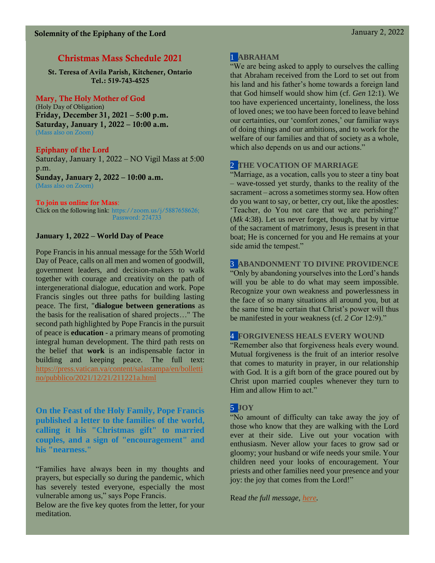### Christmas Mass Schedule 2021

St. Teresa of Avila Parish, Kitchener, Ontario Tel.: 519-743-4525

### Mary, The Holy Mother of God

(Holy Day of Obligation) Friday, December 31, 2021 – 5:00 p.m. Saturday, January 1, 2022 – 10:00 a.m. (Mass also on Zoom)

### Epiphany of the Lord

Saturday, January 1, 2022 – NO Vigil Mass at 5:00 p.m. Sunday, January 2, 2022 – 10:00 a.m. (Mass also on Zoom)

#### To join us online for Mass:

Click on the following link: https://zoom.us/j/5887658626; Password: 274733

### **January 1, 2022 – World Day of Peace**

Pope Francis in his annual message for the 55th World Day of Peace, calls on all men and women of goodwill, government leaders, and decision-makers to walk together with courage and creativity on the path of intergenerational dialogue, education and work. Pope Francis singles out three paths for building lasting peace. The first, "**dialogue between generations** as the basis for the realisation of shared projects…" The second path highlighted by Pope Francis in the pursuit of peace is **education** - a primary means of promoting integral human development. The third path rests on the belief that **work** is an indispensable factor in building and keeping peace. The full text: [https://press.vatican.va/content/salastampa/en/bolletti](https://press.vatican.va/content/salastampa/en/bollettino/pubblico/2021/12/21/211221a.html) [no/pubblico/2021/12/21/211221a.html](https://press.vatican.va/content/salastampa/en/bollettino/pubblico/2021/12/21/211221a.html)

**On the Feast of the Holy Family, Pope Francis published a letter to the families of the world, calling it his "Christmas gift" to married couples, and a sign of "encouragement" and his "nearness."**

"Families have always been in my thoughts and prayers, but especially so during the pandemic, which has severely tested everyone, especially the most vulnerable among us," says Pope Francis.

Below are the five key quotes from the letter, for your meditation.

### 1 **ABRAHAM**

"We are being asked to apply to ourselves the calling that Abraham received from the Lord to set out from his land and his father's home towards a foreign land that God himself would show him (cf. *Gen* 12:1). We too have experienced uncertainty, loneliness, the loss of loved ones; we too have been forced to leave behind our certainties, our 'comfort zones,' our familiar ways of doing things and our ambitions, and to work for the welfare of our families and that of society as a whole, which also depends on us and our actions."

### 2 **THE VOCATION OF MARRIAGE**

"Marriage, as a vocation, calls you to steer a tiny boat – wave-tossed yet sturdy, thanks to the reality of the sacrament – across a sometimes stormy sea. How often do you want to say, or better, cry out, like the apostles: 'Teacher, do You not care that we are perishing?' (*Mk* 4:38). Let us never forget, though, that by virtue of the sacrament of matrimony, Jesus is present in that boat; He is concerned for you and He remains at your side amid the tempest."

### 3 **ABANDONMENT TO DIVINE PROVIDENCE**

"Only by abandoning yourselves into the Lord's hands will you be able to do what may seem impossible. Recognize your own weakness and powerlessness in the face of so many situations all around you, but at the same time be certain that Christ's power will thus be manifested in your weakness (cf. *2 Cor* 12:9)."

### 4 **FORGIVENESS HEALS EVERY WOUND**

"Remember also that forgiveness heals every wound. Mutual forgiveness is the fruit of an interior resolve that comes to maturity in prayer, in our relationship with God. It is a gift born of the grace poured out by Christ upon married couples whenever they turn to Him and allow Him to act."

### 5 **JOY**

"No amount of difficulty can take away the joy of those who know that they are walking with the Lord ever at their side. Live out your vocation with enthusiasm. Never allow your faces to grow sad or gloomy; your husband or wife needs your smile. Your children need your looks of encouragement. Your priests and other families need your presence and your joy: the joy that comes from the Lord!"

Rea*d the full message, [here.](https://www.vatican.va/content/francesco/en/letters/2021/documents/20211226-lettera-sposi-anno-famiglia-amorislaetitia.html)*